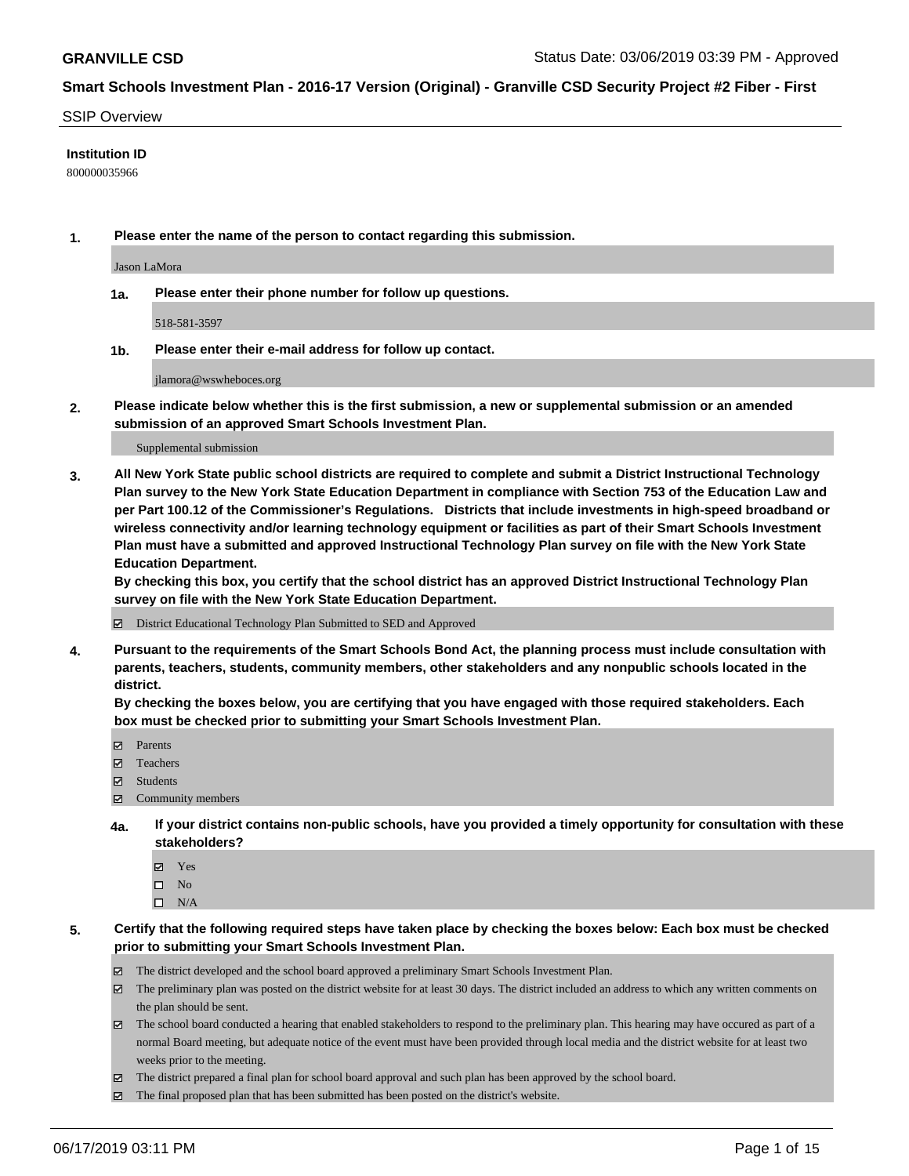#### SSIP Overview

#### **Institution ID**

800000035966

**1. Please enter the name of the person to contact regarding this submission.**

Jason LaMora

**1a. Please enter their phone number for follow up questions.**

518-581-3597

**1b. Please enter their e-mail address for follow up contact.**

jlamora@wswheboces.org

**2. Please indicate below whether this is the first submission, a new or supplemental submission or an amended submission of an approved Smart Schools Investment Plan.**

#### Supplemental submission

**3. All New York State public school districts are required to complete and submit a District Instructional Technology Plan survey to the New York State Education Department in compliance with Section 753 of the Education Law and per Part 100.12 of the Commissioner's Regulations. Districts that include investments in high-speed broadband or wireless connectivity and/or learning technology equipment or facilities as part of their Smart Schools Investment Plan must have a submitted and approved Instructional Technology Plan survey on file with the New York State Education Department.** 

**By checking this box, you certify that the school district has an approved District Instructional Technology Plan survey on file with the New York State Education Department.**

District Educational Technology Plan Submitted to SED and Approved

**4. Pursuant to the requirements of the Smart Schools Bond Act, the planning process must include consultation with parents, teachers, students, community members, other stakeholders and any nonpublic schools located in the district.** 

**By checking the boxes below, you are certifying that you have engaged with those required stakeholders. Each box must be checked prior to submitting your Smart Schools Investment Plan.**

- Parents
- Teachers
- Students
- Community members
- **4a. If your district contains non-public schools, have you provided a timely opportunity for consultation with these stakeholders?**
	- Yes
	- $\square$  No
	- $\square$  N/A
- **5. Certify that the following required steps have taken place by checking the boxes below: Each box must be checked prior to submitting your Smart Schools Investment Plan.**
	- The district developed and the school board approved a preliminary Smart Schools Investment Plan.
	- $\boxtimes$  The preliminary plan was posted on the district website for at least 30 days. The district included an address to which any written comments on the plan should be sent.
	- $\boxtimes$  The school board conducted a hearing that enabled stakeholders to respond to the preliminary plan. This hearing may have occured as part of a normal Board meeting, but adequate notice of the event must have been provided through local media and the district website for at least two weeks prior to the meeting.
	- The district prepared a final plan for school board approval and such plan has been approved by the school board.
	- $\boxtimes$  The final proposed plan that has been submitted has been posted on the district's website.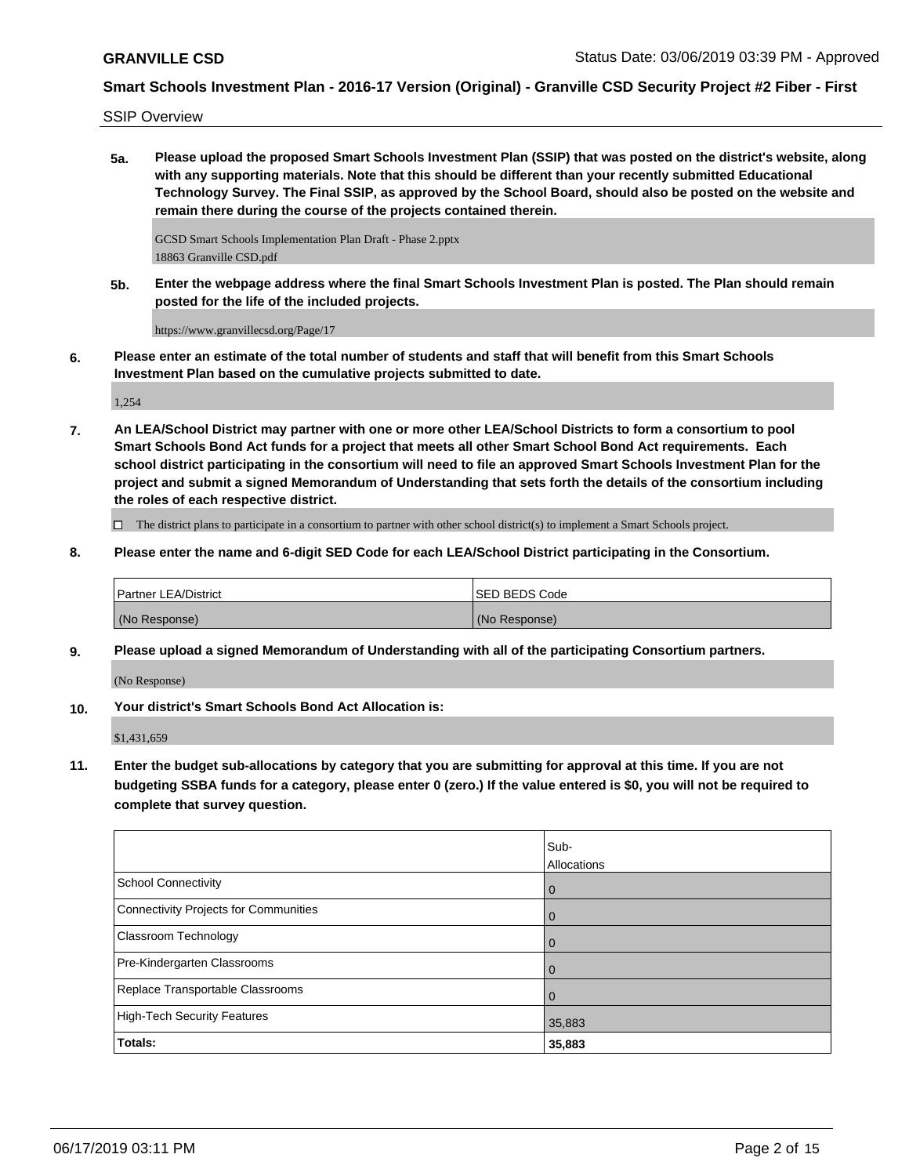SSIP Overview

**5a. Please upload the proposed Smart Schools Investment Plan (SSIP) that was posted on the district's website, along with any supporting materials. Note that this should be different than your recently submitted Educational Technology Survey. The Final SSIP, as approved by the School Board, should also be posted on the website and remain there during the course of the projects contained therein.**

GCSD Smart Schools Implementation Plan Draft - Phase 2.pptx 18863 Granville CSD.pdf

**5b. Enter the webpage address where the final Smart Schools Investment Plan is posted. The Plan should remain posted for the life of the included projects.**

https://www.granvillecsd.org/Page/17

**6. Please enter an estimate of the total number of students and staff that will benefit from this Smart Schools Investment Plan based on the cumulative projects submitted to date.**

1,254

**7. An LEA/School District may partner with one or more other LEA/School Districts to form a consortium to pool Smart Schools Bond Act funds for a project that meets all other Smart School Bond Act requirements. Each school district participating in the consortium will need to file an approved Smart Schools Investment Plan for the project and submit a signed Memorandum of Understanding that sets forth the details of the consortium including the roles of each respective district.**

 $\Box$  The district plans to participate in a consortium to partner with other school district(s) to implement a Smart Schools project.

**8. Please enter the name and 6-digit SED Code for each LEA/School District participating in the Consortium.**

| <b>Partner LEA/District</b> | ISED BEDS Code |
|-----------------------------|----------------|
| (No Response)               | (No Response)  |

**9. Please upload a signed Memorandum of Understanding with all of the participating Consortium partners.**

(No Response)

**10. Your district's Smart Schools Bond Act Allocation is:**

\$1,431,659

**11. Enter the budget sub-allocations by category that you are submitting for approval at this time. If you are not budgeting SSBA funds for a category, please enter 0 (zero.) If the value entered is \$0, you will not be required to complete that survey question.**

|                                       | Sub-<br><b>Allocations</b> |
|---------------------------------------|----------------------------|
| <b>School Connectivity</b>            | $\overline{0}$             |
| Connectivity Projects for Communities | $\overline{0}$             |
| <b>Classroom Technology</b>           | $\overline{0}$             |
| Pre-Kindergarten Classrooms           | 0                          |
| Replace Transportable Classrooms      | $\overline{0}$             |
| <b>High-Tech Security Features</b>    | 35,883                     |
| Totals:                               | 35,883                     |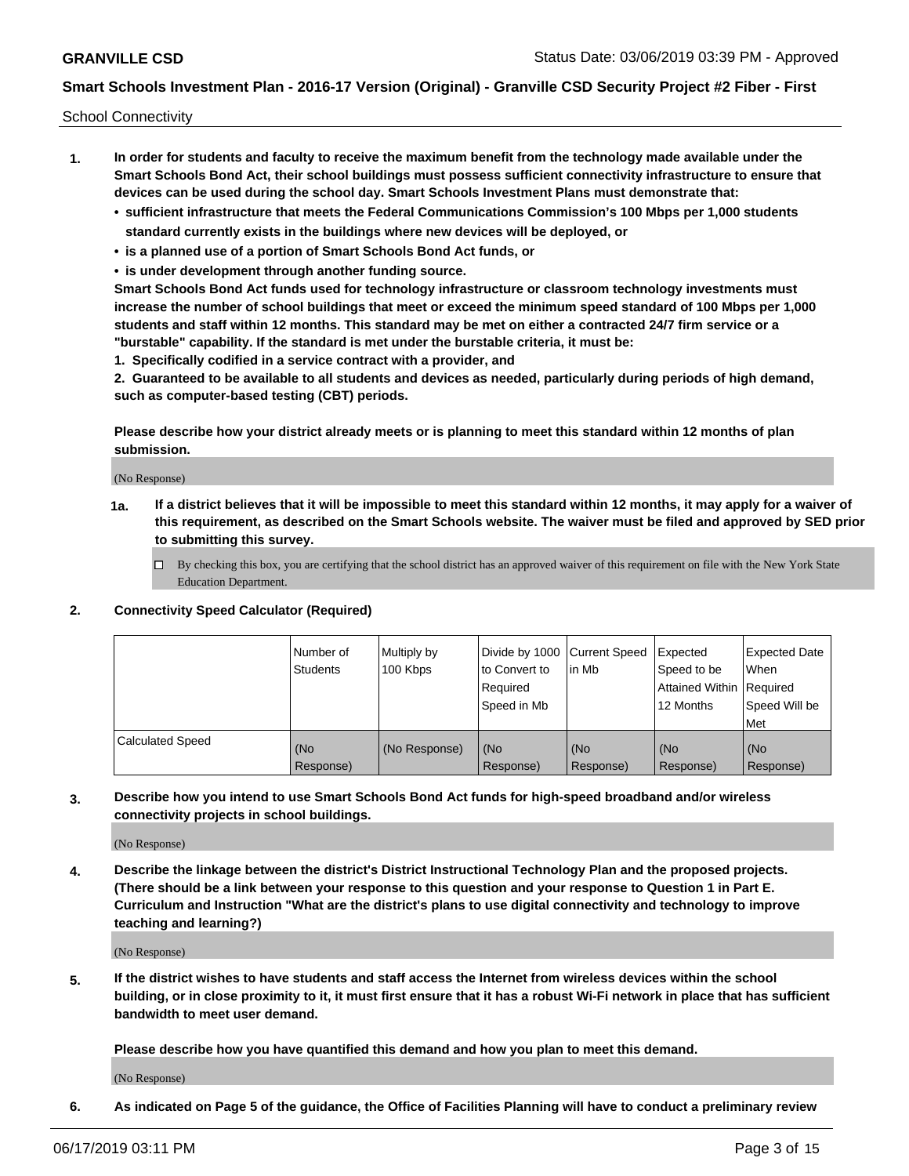School Connectivity

- **1. In order for students and faculty to receive the maximum benefit from the technology made available under the Smart Schools Bond Act, their school buildings must possess sufficient connectivity infrastructure to ensure that devices can be used during the school day. Smart Schools Investment Plans must demonstrate that:**
	- **• sufficient infrastructure that meets the Federal Communications Commission's 100 Mbps per 1,000 students standard currently exists in the buildings where new devices will be deployed, or**
	- **• is a planned use of a portion of Smart Schools Bond Act funds, or**
	- **• is under development through another funding source.**

**Smart Schools Bond Act funds used for technology infrastructure or classroom technology investments must increase the number of school buildings that meet or exceed the minimum speed standard of 100 Mbps per 1,000 students and staff within 12 months. This standard may be met on either a contracted 24/7 firm service or a "burstable" capability. If the standard is met under the burstable criteria, it must be:**

**1. Specifically codified in a service contract with a provider, and**

**2. Guaranteed to be available to all students and devices as needed, particularly during periods of high demand, such as computer-based testing (CBT) periods.**

**Please describe how your district already meets or is planning to meet this standard within 12 months of plan submission.**

(No Response)

**1a. If a district believes that it will be impossible to meet this standard within 12 months, it may apply for a waiver of this requirement, as described on the Smart Schools website. The waiver must be filed and approved by SED prior to submitting this survey.**

 $\Box$  By checking this box, you are certifying that the school district has an approved waiver of this requirement on file with the New York State Education Department.

#### **2. Connectivity Speed Calculator (Required)**

|                         | Number of<br><b>Students</b> | Multiply by<br>100 Kbps | Divide by 1000 Current Speed<br>to Convert to<br>Required<br>Speed in Mb | lin Mb           | Expected<br>Speed to be<br>Attained Within   Required<br>12 Months | <b>Expected Date</b><br>When<br>Speed Will be<br>Met |
|-------------------------|------------------------------|-------------------------|--------------------------------------------------------------------------|------------------|--------------------------------------------------------------------|------------------------------------------------------|
| <b>Calculated Speed</b> | (No<br>Response)             | (No Response)           | (No<br>Response)                                                         | (No<br>Response) | (No<br>Response)                                                   | (No<br>Response)                                     |

**3. Describe how you intend to use Smart Schools Bond Act funds for high-speed broadband and/or wireless connectivity projects in school buildings.**

(No Response)

**4. Describe the linkage between the district's District Instructional Technology Plan and the proposed projects. (There should be a link between your response to this question and your response to Question 1 in Part E. Curriculum and Instruction "What are the district's plans to use digital connectivity and technology to improve teaching and learning?)**

(No Response)

**5. If the district wishes to have students and staff access the Internet from wireless devices within the school building, or in close proximity to it, it must first ensure that it has a robust Wi-Fi network in place that has sufficient bandwidth to meet user demand.**

**Please describe how you have quantified this demand and how you plan to meet this demand.**

(No Response)

**6. As indicated on Page 5 of the guidance, the Office of Facilities Planning will have to conduct a preliminary review**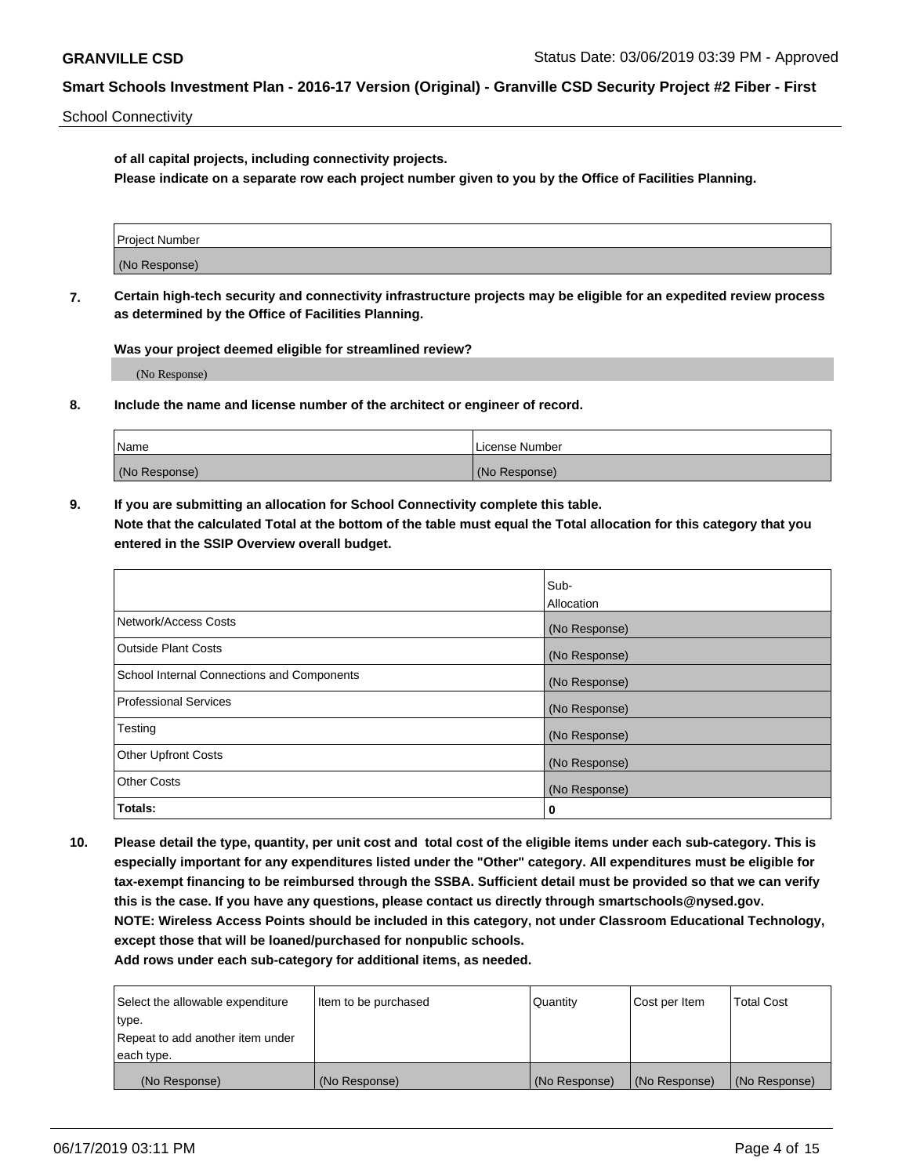School Connectivity

**of all capital projects, including connectivity projects.**

**Please indicate on a separate row each project number given to you by the Office of Facilities Planning.**

| Project Number |  |
|----------------|--|
|                |  |
|                |  |
| (No Response)  |  |
|                |  |

**7. Certain high-tech security and connectivity infrastructure projects may be eligible for an expedited review process as determined by the Office of Facilities Planning.**

**Was your project deemed eligible for streamlined review?**

(No Response)

**8. Include the name and license number of the architect or engineer of record.**

| Name          | License Number |
|---------------|----------------|
| (No Response) | (No Response)  |

**9. If you are submitting an allocation for School Connectivity complete this table. Note that the calculated Total at the bottom of the table must equal the Total allocation for this category that you entered in the SSIP Overview overall budget.** 

|                                            | Sub-          |
|--------------------------------------------|---------------|
|                                            | Allocation    |
| Network/Access Costs                       | (No Response) |
| Outside Plant Costs                        | (No Response) |
| School Internal Connections and Components | (No Response) |
| <b>Professional Services</b>               | (No Response) |
| Testing                                    | (No Response) |
| <b>Other Upfront Costs</b>                 | (No Response) |
| <b>Other Costs</b>                         | (No Response) |
| Totals:                                    | 0             |

**10. Please detail the type, quantity, per unit cost and total cost of the eligible items under each sub-category. This is especially important for any expenditures listed under the "Other" category. All expenditures must be eligible for tax-exempt financing to be reimbursed through the SSBA. Sufficient detail must be provided so that we can verify this is the case. If you have any questions, please contact us directly through smartschools@nysed.gov. NOTE: Wireless Access Points should be included in this category, not under Classroom Educational Technology, except those that will be loaned/purchased for nonpublic schools.**

| Select the allowable expenditure | Item to be purchased | Quantity      | Cost per Item | <b>Total Cost</b> |
|----------------------------------|----------------------|---------------|---------------|-------------------|
| type.                            |                      |               |               |                   |
| Repeat to add another item under |                      |               |               |                   |
| each type.                       |                      |               |               |                   |
| (No Response)                    | (No Response)        | (No Response) | (No Response) | (No Response)     |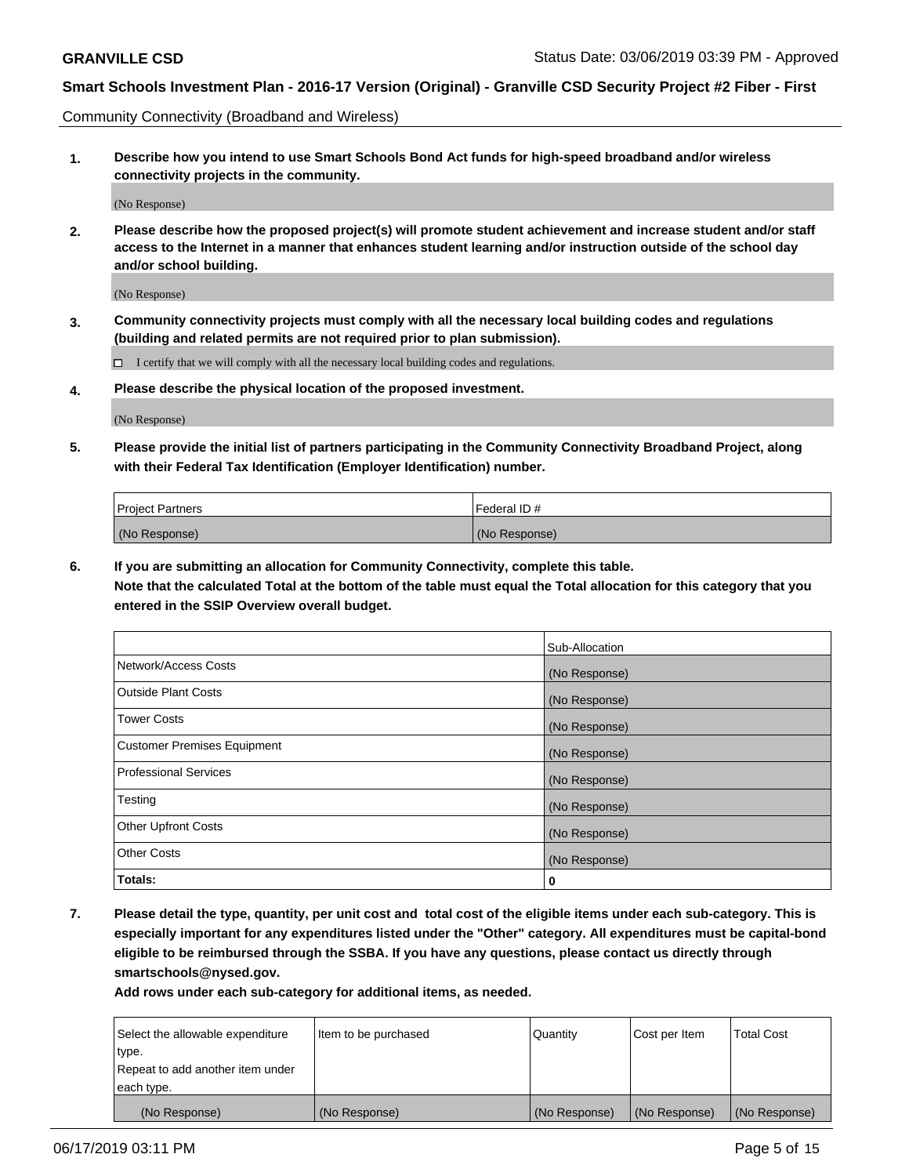Community Connectivity (Broadband and Wireless)

**1. Describe how you intend to use Smart Schools Bond Act funds for high-speed broadband and/or wireless connectivity projects in the community.**

(No Response)

**2. Please describe how the proposed project(s) will promote student achievement and increase student and/or staff access to the Internet in a manner that enhances student learning and/or instruction outside of the school day and/or school building.**

(No Response)

**3. Community connectivity projects must comply with all the necessary local building codes and regulations (building and related permits are not required prior to plan submission).**

 $\Box$  I certify that we will comply with all the necessary local building codes and regulations.

**4. Please describe the physical location of the proposed investment.**

(No Response)

**5. Please provide the initial list of partners participating in the Community Connectivity Broadband Project, along with their Federal Tax Identification (Employer Identification) number.**

| <b>Project Partners</b> | Federal ID#   |
|-------------------------|---------------|
| (No Response)           | (No Response) |

**6. If you are submitting an allocation for Community Connectivity, complete this table.**

**Note that the calculated Total at the bottom of the table must equal the Total allocation for this category that you entered in the SSIP Overview overall budget.**

|                                    | Sub-Allocation |
|------------------------------------|----------------|
| Network/Access Costs               | (No Response)  |
| <b>Outside Plant Costs</b>         | (No Response)  |
| <b>Tower Costs</b>                 | (No Response)  |
| <b>Customer Premises Equipment</b> | (No Response)  |
| <b>Professional Services</b>       | (No Response)  |
| Testing                            | (No Response)  |
| <b>Other Upfront Costs</b>         | (No Response)  |
| <b>Other Costs</b>                 | (No Response)  |
| Totals:                            | 0              |

**7. Please detail the type, quantity, per unit cost and total cost of the eligible items under each sub-category. This is especially important for any expenditures listed under the "Other" category. All expenditures must be capital-bond eligible to be reimbursed through the SSBA. If you have any questions, please contact us directly through smartschools@nysed.gov.**

| Select the allowable expenditure | Item to be purchased | Quantity      | Cost per Item | <b>Total Cost</b> |
|----------------------------------|----------------------|---------------|---------------|-------------------|
| type.                            |                      |               |               |                   |
| Repeat to add another item under |                      |               |               |                   |
| each type.                       |                      |               |               |                   |
| (No Response)                    | (No Response)        | (No Response) | (No Response) | (No Response)     |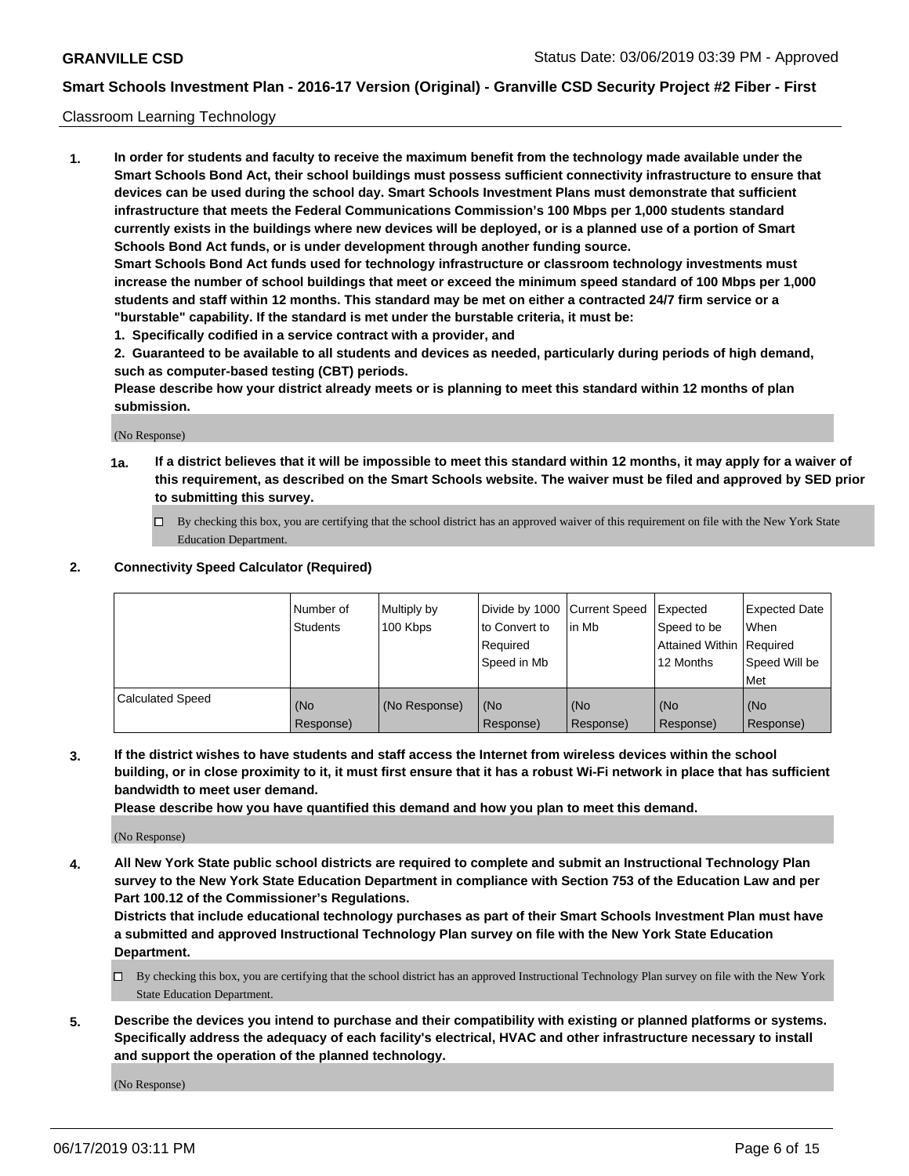#### Classroom Learning Technology

**1. In order for students and faculty to receive the maximum benefit from the technology made available under the Smart Schools Bond Act, their school buildings must possess sufficient connectivity infrastructure to ensure that devices can be used during the school day. Smart Schools Investment Plans must demonstrate that sufficient infrastructure that meets the Federal Communications Commission's 100 Mbps per 1,000 students standard currently exists in the buildings where new devices will be deployed, or is a planned use of a portion of Smart Schools Bond Act funds, or is under development through another funding source. Smart Schools Bond Act funds used for technology infrastructure or classroom technology investments must increase the number of school buildings that meet or exceed the minimum speed standard of 100 Mbps per 1,000 students and staff within 12 months. This standard may be met on either a contracted 24/7 firm service or a "burstable" capability. If the standard is met under the burstable criteria, it must be:**

**1. Specifically codified in a service contract with a provider, and**

**2. Guaranteed to be available to all students and devices as needed, particularly during periods of high demand, such as computer-based testing (CBT) periods.**

**Please describe how your district already meets or is planning to meet this standard within 12 months of plan submission.**

(No Response)

- **1a. If a district believes that it will be impossible to meet this standard within 12 months, it may apply for a waiver of this requirement, as described on the Smart Schools website. The waiver must be filed and approved by SED prior to submitting this survey.**
	- By checking this box, you are certifying that the school district has an approved waiver of this requirement on file with the New York State Education Department.

#### **2. Connectivity Speed Calculator (Required)**

|                         | Number of<br><b>Students</b> | Multiply by<br>100 Kbps | Divide by 1000   Current Speed<br>to Convert to<br>Reauired<br>Speed in Mb | lin Mb           | Expected<br>Speed to be<br>Attained Within   Required<br>12 Months | <b>Expected Date</b><br>When<br>Speed Will be<br>Met |
|-------------------------|------------------------------|-------------------------|----------------------------------------------------------------------------|------------------|--------------------------------------------------------------------|------------------------------------------------------|
| <b>Calculated Speed</b> | (No<br>Response)             | (No Response)           | (No<br>Response)                                                           | (No<br>Response) | (No<br>Response)                                                   | (No<br>Response)                                     |

**3. If the district wishes to have students and staff access the Internet from wireless devices within the school building, or in close proximity to it, it must first ensure that it has a robust Wi-Fi network in place that has sufficient bandwidth to meet user demand.**

**Please describe how you have quantified this demand and how you plan to meet this demand.**

(No Response)

**4. All New York State public school districts are required to complete and submit an Instructional Technology Plan survey to the New York State Education Department in compliance with Section 753 of the Education Law and per Part 100.12 of the Commissioner's Regulations.**

**Districts that include educational technology purchases as part of their Smart Schools Investment Plan must have a submitted and approved Instructional Technology Plan survey on file with the New York State Education Department.**

- $\Box$  By checking this box, you are certifying that the school district has an approved Instructional Technology Plan survey on file with the New York State Education Department.
- **5. Describe the devices you intend to purchase and their compatibility with existing or planned platforms or systems. Specifically address the adequacy of each facility's electrical, HVAC and other infrastructure necessary to install and support the operation of the planned technology.**

(No Response)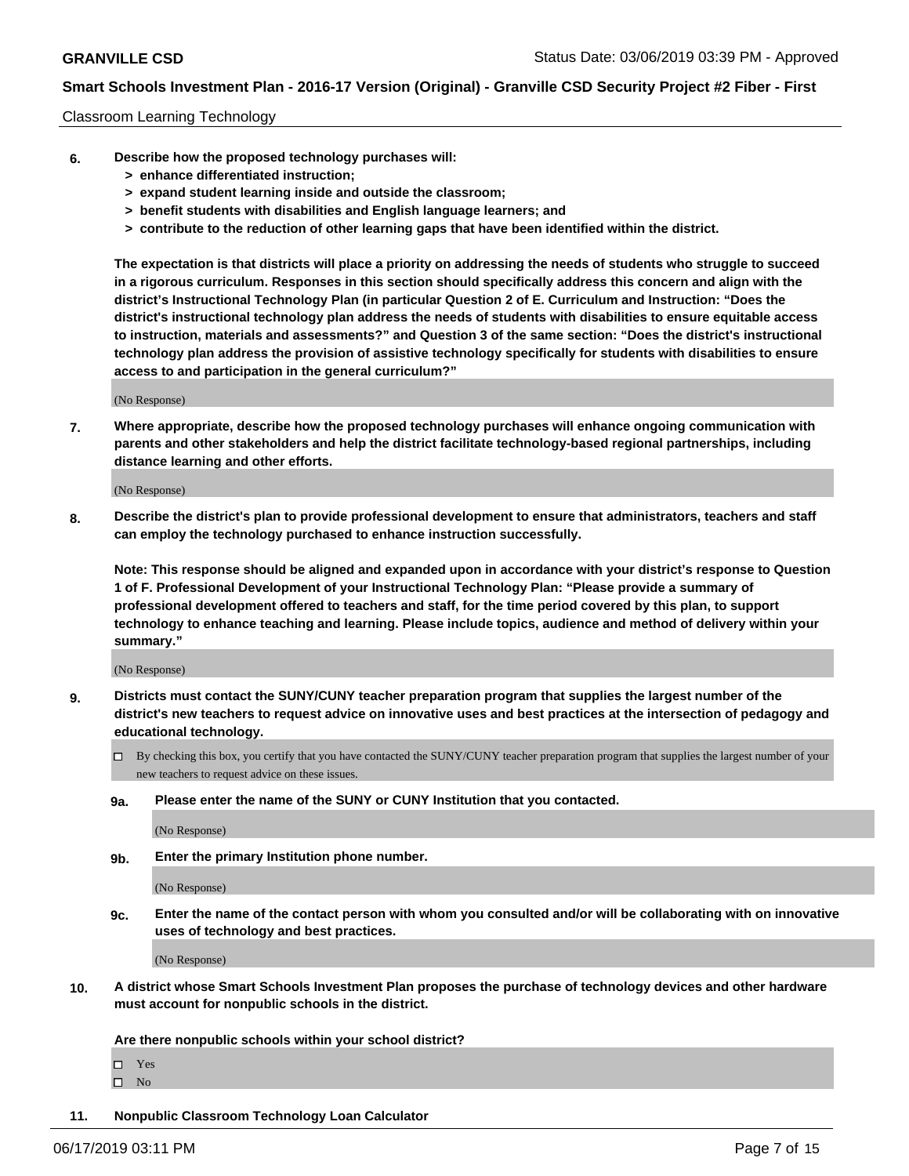#### Classroom Learning Technology

- **6. Describe how the proposed technology purchases will:**
	- **> enhance differentiated instruction;**
	- **> expand student learning inside and outside the classroom;**
	- **> benefit students with disabilities and English language learners; and**
	- **> contribute to the reduction of other learning gaps that have been identified within the district.**

**The expectation is that districts will place a priority on addressing the needs of students who struggle to succeed in a rigorous curriculum. Responses in this section should specifically address this concern and align with the district's Instructional Technology Plan (in particular Question 2 of E. Curriculum and Instruction: "Does the district's instructional technology plan address the needs of students with disabilities to ensure equitable access to instruction, materials and assessments?" and Question 3 of the same section: "Does the district's instructional technology plan address the provision of assistive technology specifically for students with disabilities to ensure access to and participation in the general curriculum?"**

(No Response)

**7. Where appropriate, describe how the proposed technology purchases will enhance ongoing communication with parents and other stakeholders and help the district facilitate technology-based regional partnerships, including distance learning and other efforts.**

(No Response)

**8. Describe the district's plan to provide professional development to ensure that administrators, teachers and staff can employ the technology purchased to enhance instruction successfully.**

**Note: This response should be aligned and expanded upon in accordance with your district's response to Question 1 of F. Professional Development of your Instructional Technology Plan: "Please provide a summary of professional development offered to teachers and staff, for the time period covered by this plan, to support technology to enhance teaching and learning. Please include topics, audience and method of delivery within your summary."**

(No Response)

- **9. Districts must contact the SUNY/CUNY teacher preparation program that supplies the largest number of the district's new teachers to request advice on innovative uses and best practices at the intersection of pedagogy and educational technology.**
	- By checking this box, you certify that you have contacted the SUNY/CUNY teacher preparation program that supplies the largest number of your new teachers to request advice on these issues.
	- **9a. Please enter the name of the SUNY or CUNY Institution that you contacted.**

(No Response)

**9b. Enter the primary Institution phone number.**

(No Response)

**9c. Enter the name of the contact person with whom you consulted and/or will be collaborating with on innovative uses of technology and best practices.**

(No Response)

**10. A district whose Smart Schools Investment Plan proposes the purchase of technology devices and other hardware must account for nonpublic schools in the district.**

**Are there nonpublic schools within your school district?**

Yes

 $\square$  No

**11. Nonpublic Classroom Technology Loan Calculator**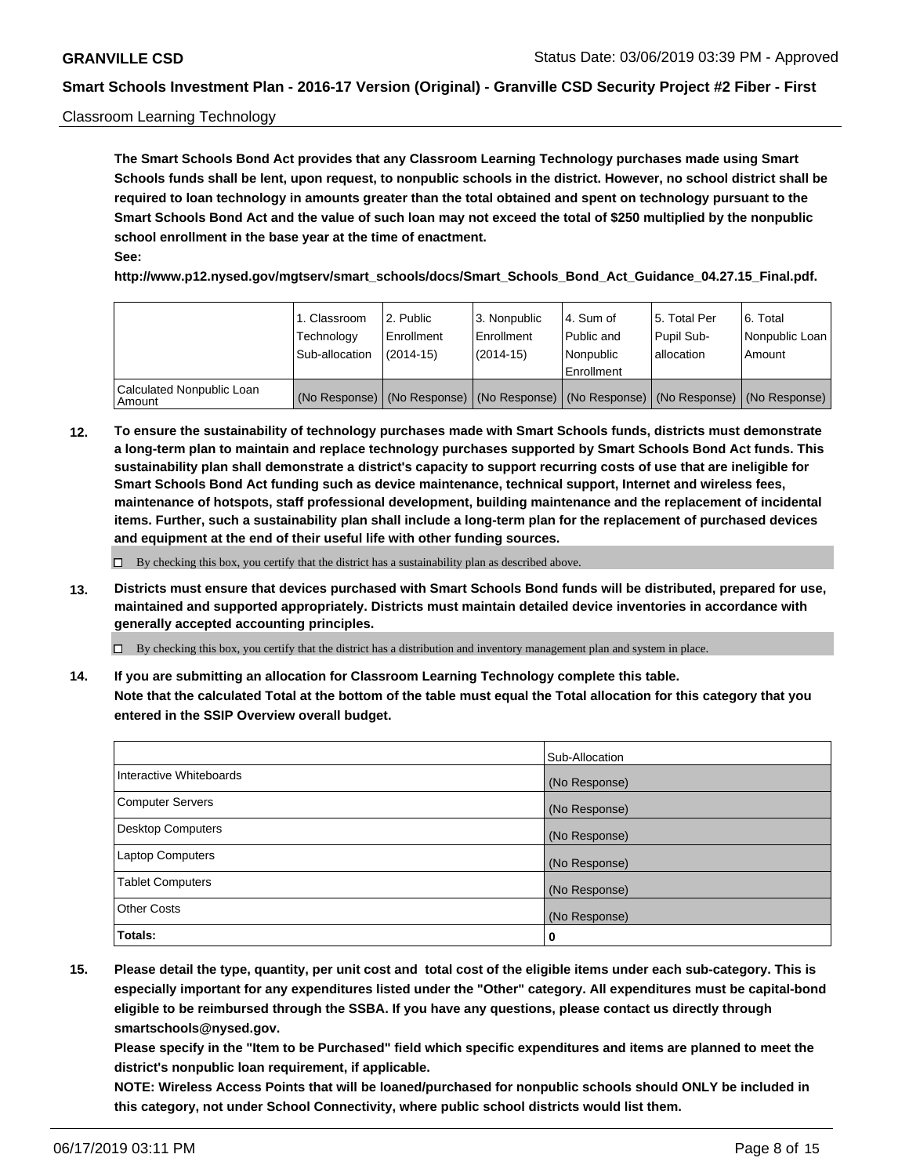#### Classroom Learning Technology

**The Smart Schools Bond Act provides that any Classroom Learning Technology purchases made using Smart Schools funds shall be lent, upon request, to nonpublic schools in the district. However, no school district shall be required to loan technology in amounts greater than the total obtained and spent on technology pursuant to the Smart Schools Bond Act and the value of such loan may not exceed the total of \$250 multiplied by the nonpublic school enrollment in the base year at the time of enactment. See:**

**http://www.p12.nysed.gov/mgtserv/smart\_schools/docs/Smart\_Schools\_Bond\_Act\_Guidance\_04.27.15\_Final.pdf.**

|                                       | 1. Classroom<br>Technology<br>Sub-allocation | l 2. Public<br>Enrollment<br>$(2014-15)$ | 3. Nonpublic<br>l Enrollment<br>$(2014-15)$ | l 4. Sum of<br>Public and<br>l Nonpublic<br>Enrollment                                        | 15. Total Per<br>Pupil Sub-<br>allocation | l 6. Total<br>Nonpublic Loan<br>Amount |
|---------------------------------------|----------------------------------------------|------------------------------------------|---------------------------------------------|-----------------------------------------------------------------------------------------------|-------------------------------------------|----------------------------------------|
| Calculated Nonpublic Loan<br>l Amount |                                              |                                          |                                             | (No Response)   (No Response)   (No Response)   (No Response)   (No Response)   (No Response) |                                           |                                        |

**12. To ensure the sustainability of technology purchases made with Smart Schools funds, districts must demonstrate a long-term plan to maintain and replace technology purchases supported by Smart Schools Bond Act funds. This sustainability plan shall demonstrate a district's capacity to support recurring costs of use that are ineligible for Smart Schools Bond Act funding such as device maintenance, technical support, Internet and wireless fees, maintenance of hotspots, staff professional development, building maintenance and the replacement of incidental items. Further, such a sustainability plan shall include a long-term plan for the replacement of purchased devices and equipment at the end of their useful life with other funding sources.**

 $\Box$  By checking this box, you certify that the district has a sustainability plan as described above.

**13. Districts must ensure that devices purchased with Smart Schools Bond funds will be distributed, prepared for use, maintained and supported appropriately. Districts must maintain detailed device inventories in accordance with generally accepted accounting principles.**

By checking this box, you certify that the district has a distribution and inventory management plan and system in place.

**14. If you are submitting an allocation for Classroom Learning Technology complete this table. Note that the calculated Total at the bottom of the table must equal the Total allocation for this category that you entered in the SSIP Overview overall budget.**

|                          | Sub-Allocation |
|--------------------------|----------------|
| Interactive Whiteboards  | (No Response)  |
| <b>Computer Servers</b>  | (No Response)  |
| <b>Desktop Computers</b> | (No Response)  |
| <b>Laptop Computers</b>  | (No Response)  |
| <b>Tablet Computers</b>  | (No Response)  |
| <b>Other Costs</b>       | (No Response)  |
| Totals:                  | 0              |

**15. Please detail the type, quantity, per unit cost and total cost of the eligible items under each sub-category. This is especially important for any expenditures listed under the "Other" category. All expenditures must be capital-bond eligible to be reimbursed through the SSBA. If you have any questions, please contact us directly through smartschools@nysed.gov.**

**Please specify in the "Item to be Purchased" field which specific expenditures and items are planned to meet the district's nonpublic loan requirement, if applicable.**

**NOTE: Wireless Access Points that will be loaned/purchased for nonpublic schools should ONLY be included in this category, not under School Connectivity, where public school districts would list them.**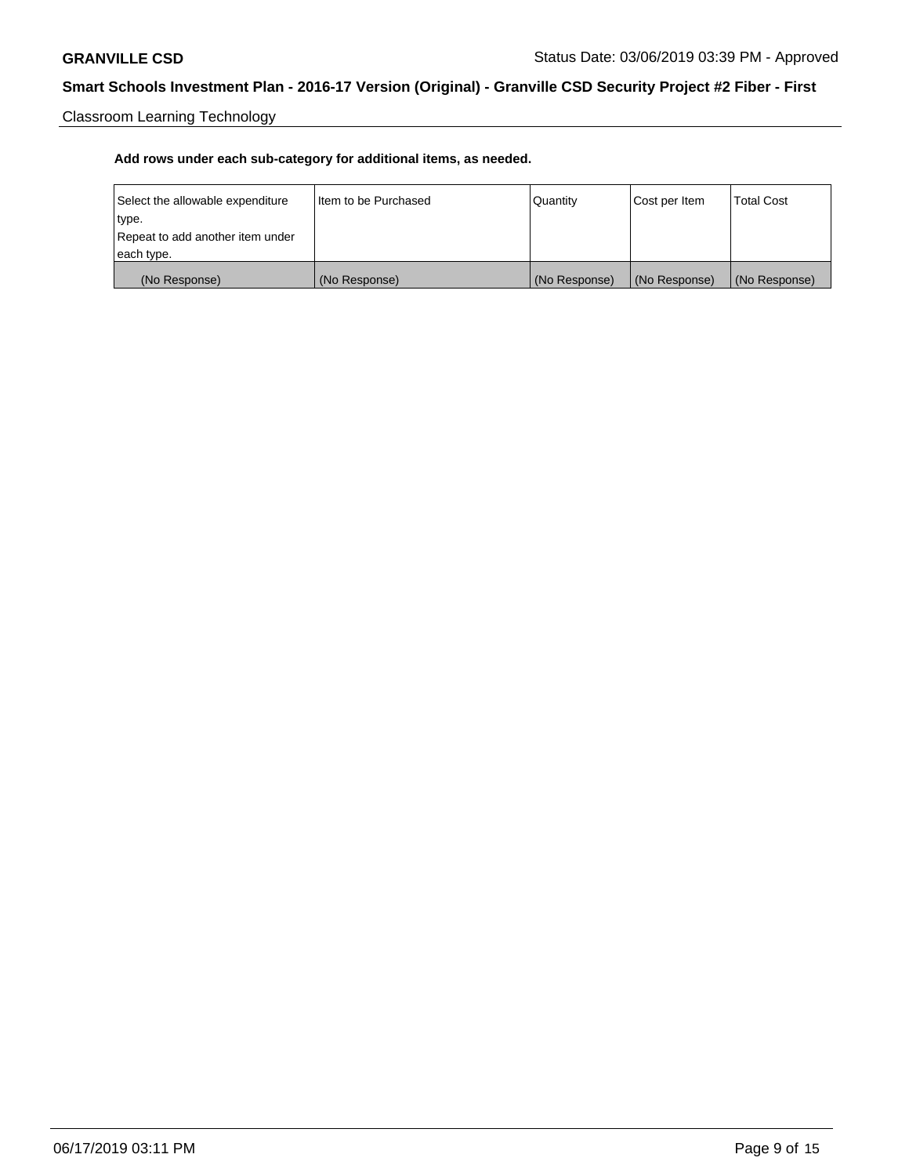Classroom Learning Technology

| Select the allowable expenditure | Iltem to be Purchased | Quantity      | Cost per Item | <b>Total Cost</b> |
|----------------------------------|-----------------------|---------------|---------------|-------------------|
| type.                            |                       |               |               |                   |
| Repeat to add another item under |                       |               |               |                   |
| each type.                       |                       |               |               |                   |
| (No Response)                    | (No Response)         | (No Response) | (No Response) | (No Response)     |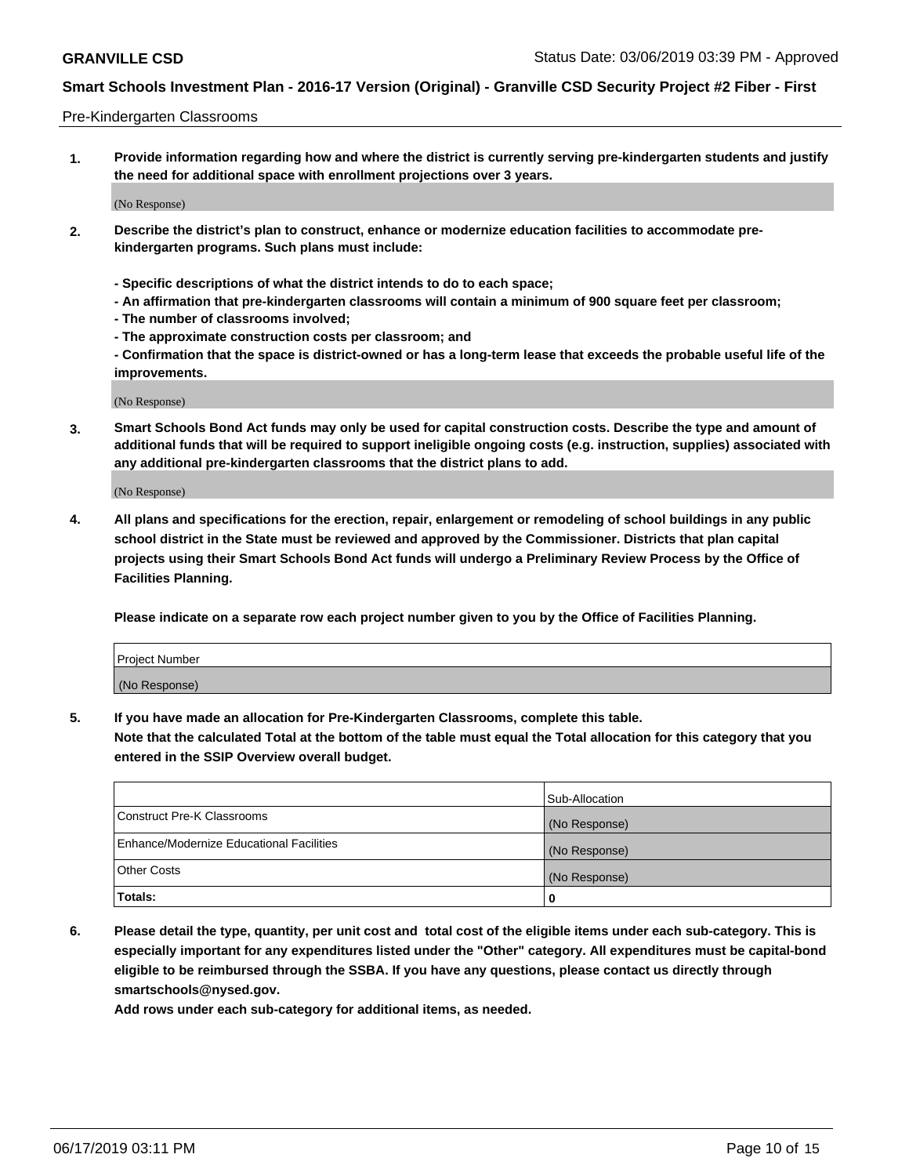#### Pre-Kindergarten Classrooms

**1. Provide information regarding how and where the district is currently serving pre-kindergarten students and justify the need for additional space with enrollment projections over 3 years.**

(No Response)

- **2. Describe the district's plan to construct, enhance or modernize education facilities to accommodate prekindergarten programs. Such plans must include:**
	- **Specific descriptions of what the district intends to do to each space;**
	- **An affirmation that pre-kindergarten classrooms will contain a minimum of 900 square feet per classroom;**
	- **The number of classrooms involved;**
	- **The approximate construction costs per classroom; and**
	- **Confirmation that the space is district-owned or has a long-term lease that exceeds the probable useful life of the improvements.**

(No Response)

**3. Smart Schools Bond Act funds may only be used for capital construction costs. Describe the type and amount of additional funds that will be required to support ineligible ongoing costs (e.g. instruction, supplies) associated with any additional pre-kindergarten classrooms that the district plans to add.**

(No Response)

**4. All plans and specifications for the erection, repair, enlargement or remodeling of school buildings in any public school district in the State must be reviewed and approved by the Commissioner. Districts that plan capital projects using their Smart Schools Bond Act funds will undergo a Preliminary Review Process by the Office of Facilities Planning.**

**Please indicate on a separate row each project number given to you by the Office of Facilities Planning.**

| Project Number |  |
|----------------|--|
| (No Response)  |  |
|                |  |

**5. If you have made an allocation for Pre-Kindergarten Classrooms, complete this table.**

**Note that the calculated Total at the bottom of the table must equal the Total allocation for this category that you entered in the SSIP Overview overall budget.**

|                                          | Sub-Allocation |
|------------------------------------------|----------------|
| Construct Pre-K Classrooms               | (No Response)  |
| Enhance/Modernize Educational Facilities | (No Response)  |
| <b>Other Costs</b>                       | (No Response)  |
| Totals:                                  | 0              |

**6. Please detail the type, quantity, per unit cost and total cost of the eligible items under each sub-category. This is especially important for any expenditures listed under the "Other" category. All expenditures must be capital-bond eligible to be reimbursed through the SSBA. If you have any questions, please contact us directly through smartschools@nysed.gov.**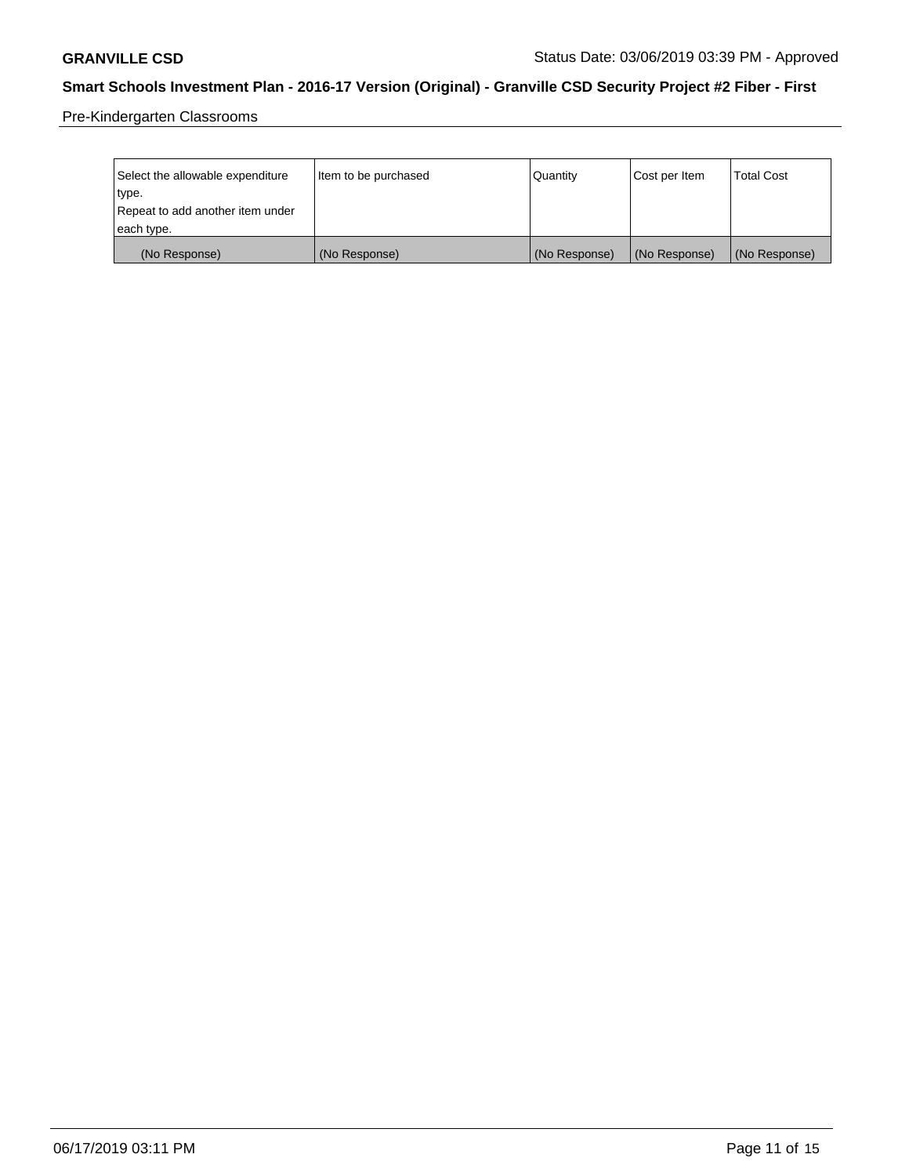Pre-Kindergarten Classrooms

| Select the allowable expenditure<br>type.      | lltem to be purchased | Quantity      | Cost per Item | <b>Total Cost</b> |
|------------------------------------------------|-----------------------|---------------|---------------|-------------------|
| Repeat to add another item under<br>each type. |                       |               |               |                   |
| (No Response)                                  | (No Response)         | (No Response) | (No Response) | (No Response)     |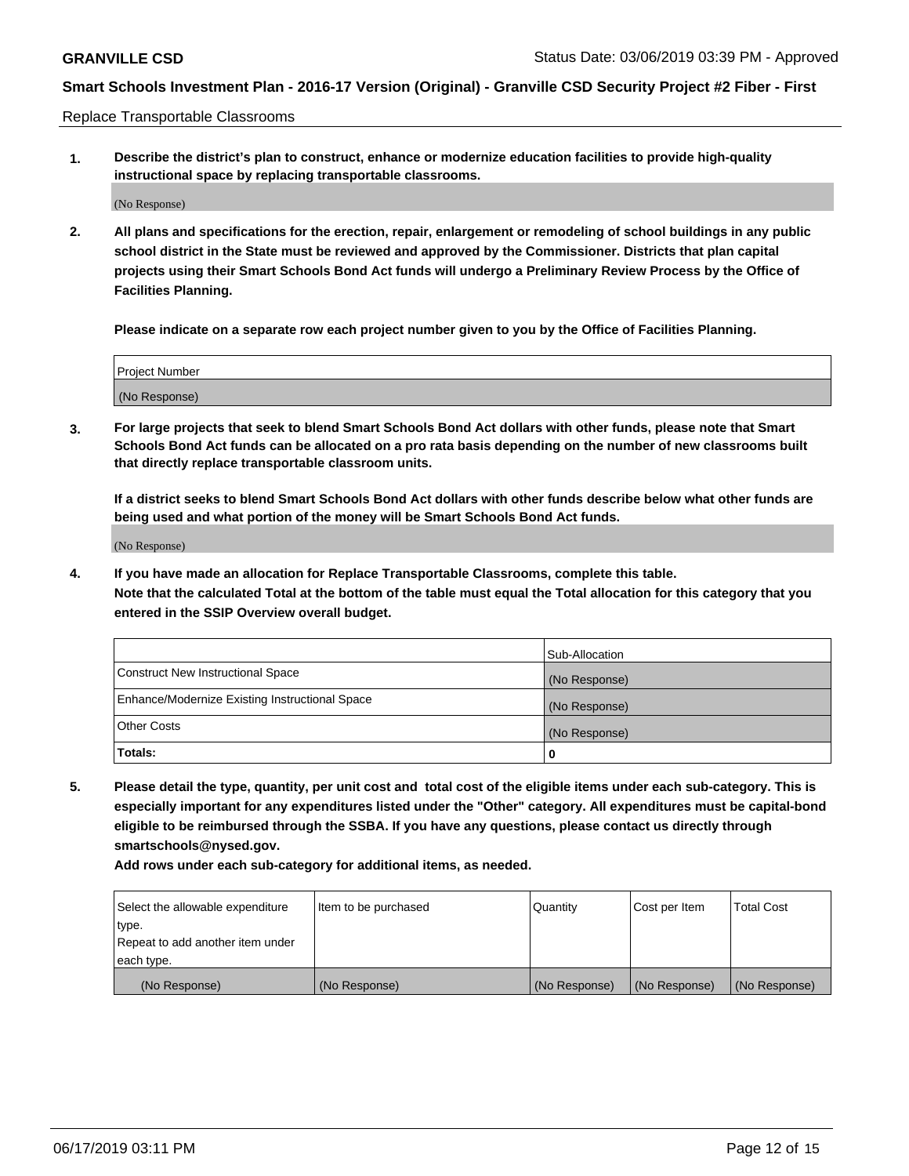Replace Transportable Classrooms

**1. Describe the district's plan to construct, enhance or modernize education facilities to provide high-quality instructional space by replacing transportable classrooms.**

(No Response)

**2. All plans and specifications for the erection, repair, enlargement or remodeling of school buildings in any public school district in the State must be reviewed and approved by the Commissioner. Districts that plan capital projects using their Smart Schools Bond Act funds will undergo a Preliminary Review Process by the Office of Facilities Planning.**

**Please indicate on a separate row each project number given to you by the Office of Facilities Planning.**

| Project Number |  |
|----------------|--|
|                |  |
|                |  |
|                |  |
|                |  |
| (No Response)  |  |
|                |  |
|                |  |
|                |  |

**3. For large projects that seek to blend Smart Schools Bond Act dollars with other funds, please note that Smart Schools Bond Act funds can be allocated on a pro rata basis depending on the number of new classrooms built that directly replace transportable classroom units.**

**If a district seeks to blend Smart Schools Bond Act dollars with other funds describe below what other funds are being used and what portion of the money will be Smart Schools Bond Act funds.**

(No Response)

**4. If you have made an allocation for Replace Transportable Classrooms, complete this table. Note that the calculated Total at the bottom of the table must equal the Total allocation for this category that you entered in the SSIP Overview overall budget.**

|                                                | Sub-Allocation |
|------------------------------------------------|----------------|
| Construct New Instructional Space              | (No Response)  |
| Enhance/Modernize Existing Instructional Space | (No Response)  |
| <b>Other Costs</b>                             | (No Response)  |
| Totals:                                        | 0              |

**5. Please detail the type, quantity, per unit cost and total cost of the eligible items under each sub-category. This is especially important for any expenditures listed under the "Other" category. All expenditures must be capital-bond eligible to be reimbursed through the SSBA. If you have any questions, please contact us directly through smartschools@nysed.gov.**

| Select the allowable expenditure | Item to be purchased | l Quantitv    | Cost per Item | <b>Total Cost</b> |
|----------------------------------|----------------------|---------------|---------------|-------------------|
| type.                            |                      |               |               |                   |
| Repeat to add another item under |                      |               |               |                   |
| each type.                       |                      |               |               |                   |
| (No Response)                    | (No Response)        | (No Response) | (No Response) | (No Response)     |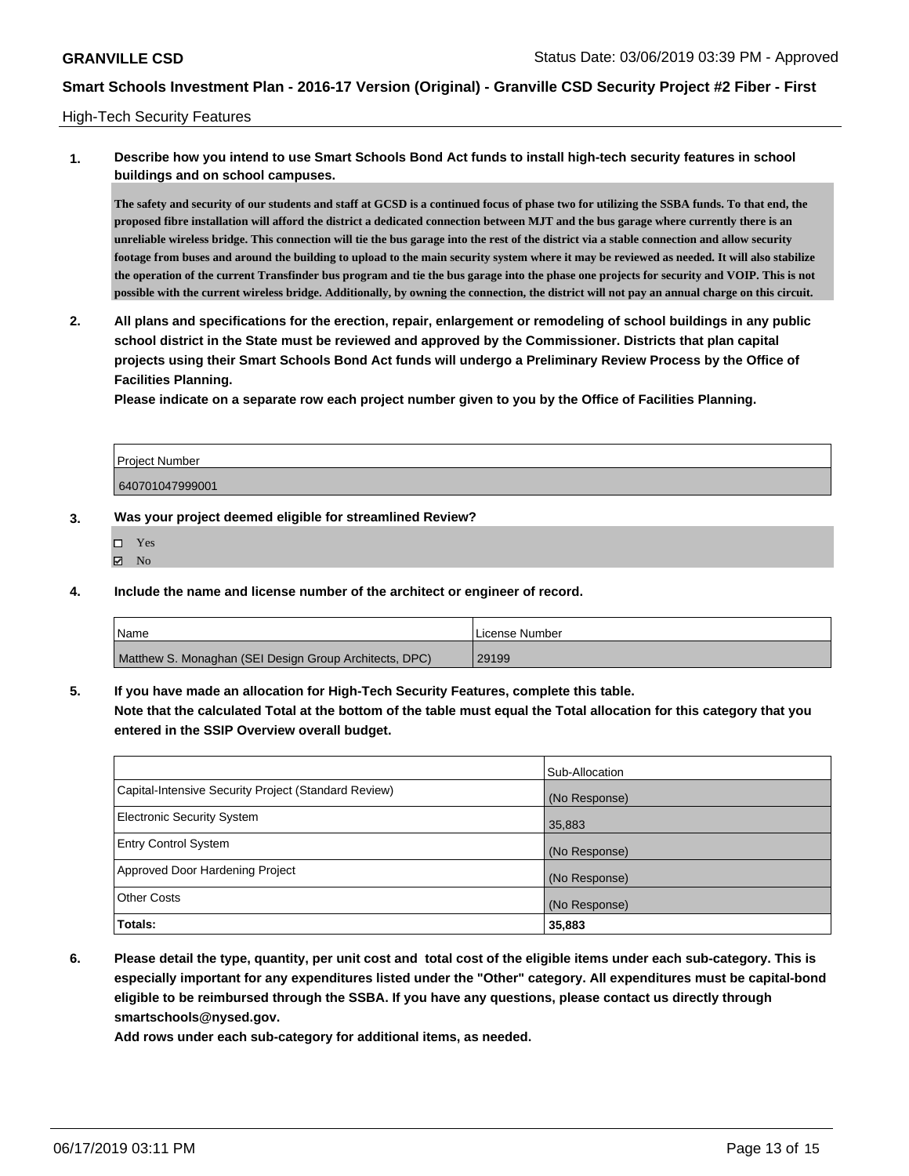#### High-Tech Security Features

## **1. Describe how you intend to use Smart Schools Bond Act funds to install high-tech security features in school buildings and on school campuses.**

**The safety and security of our students and staff at GCSD is a continued focus of phase two for utilizing the SSBA funds. To that end, the proposed fibre installation will afford the district a dedicated connection between MJT and the bus garage where currently there is an unreliable wireless bridge. This connection will tie the bus garage into the rest of the district via a stable connection and allow security footage from buses and around the building to upload to the main security system where it may be reviewed as needed. It will also stabilize the operation of the current Transfinder bus program and tie the bus garage into the phase one projects for security and VOIP. This is not possible with the current wireless bridge. Additionally, by owning the connection, the district will not pay an annual charge on this circuit.**

**2. All plans and specifications for the erection, repair, enlargement or remodeling of school buildings in any public school district in the State must be reviewed and approved by the Commissioner. Districts that plan capital projects using their Smart Schools Bond Act funds will undergo a Preliminary Review Process by the Office of Facilities Planning.** 

**Please indicate on a separate row each project number given to you by the Office of Facilities Planning.**

| Project Number  |  |
|-----------------|--|
| 640701047999001 |  |

#### **3. Was your project deemed eligible for streamlined Review?**

- □ Yes
- $\boxtimes$  No
- **4. Include the name and license number of the architect or engineer of record.**

| <b>Name</b>                                            | License Number |
|--------------------------------------------------------|----------------|
| Matthew S. Monaghan (SEI Design Group Architects, DPC) | 29199          |

**5. If you have made an allocation for High-Tech Security Features, complete this table. Note that the calculated Total at the bottom of the table must equal the Total allocation for this category that you**

#### **entered in the SSIP Overview overall budget.**

|                                                      | Sub-Allocation |
|------------------------------------------------------|----------------|
| Capital-Intensive Security Project (Standard Review) | (No Response)  |
| <b>Electronic Security System</b>                    | 35,883         |
| <b>Entry Control System</b>                          | (No Response)  |
| Approved Door Hardening Project                      | (No Response)  |
| <b>Other Costs</b>                                   | (No Response)  |
| Totals:                                              | 35,883         |

**6. Please detail the type, quantity, per unit cost and total cost of the eligible items under each sub-category. This is especially important for any expenditures listed under the "Other" category. All expenditures must be capital-bond eligible to be reimbursed through the SSBA. If you have any questions, please contact us directly through smartschools@nysed.gov.**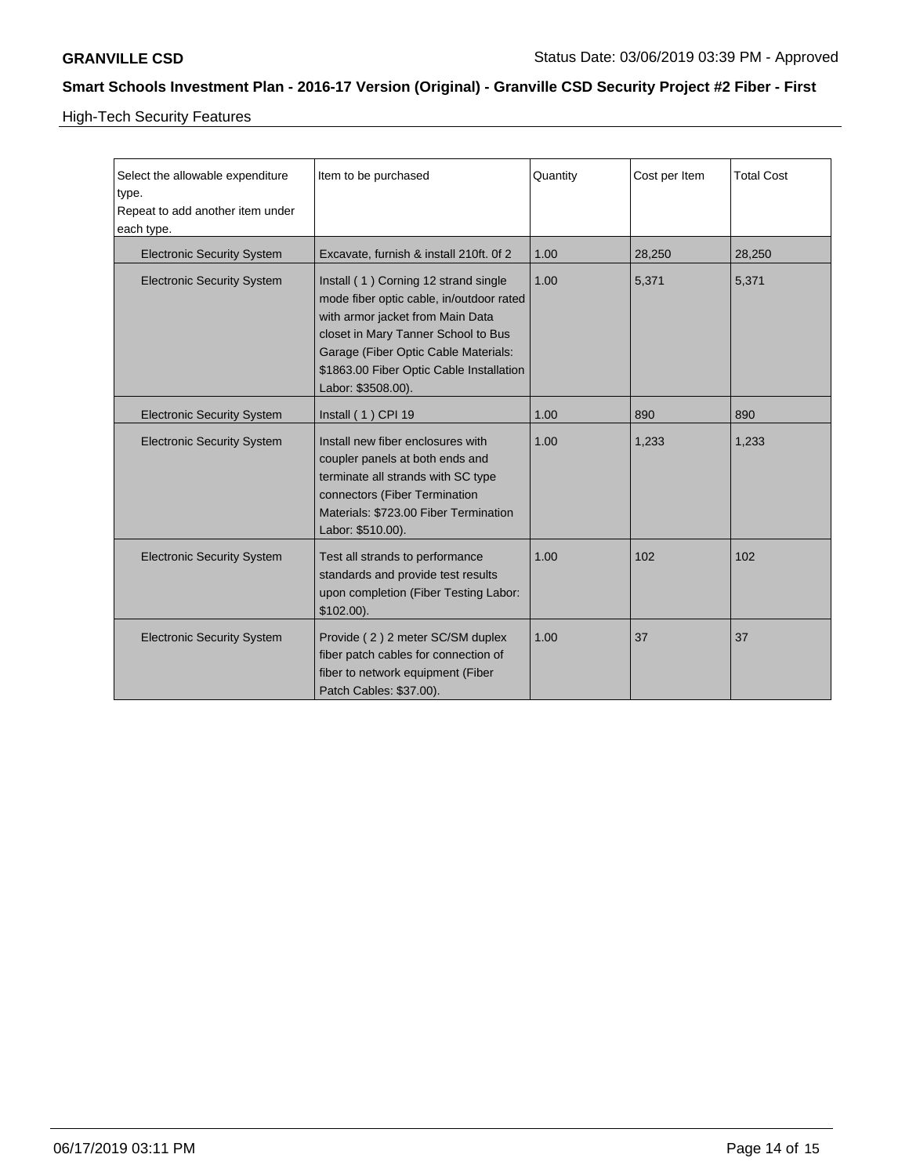High-Tech Security Features

| Select the allowable expenditure<br>type.<br>Repeat to add another item under<br>each type. | Item to be purchased                                                                                                                                                                                                                                                  | Quantity | Cost per Item | <b>Total Cost</b> |
|---------------------------------------------------------------------------------------------|-----------------------------------------------------------------------------------------------------------------------------------------------------------------------------------------------------------------------------------------------------------------------|----------|---------------|-------------------|
| <b>Electronic Security System</b>                                                           | Excavate, furnish & install 210ft. Of 2                                                                                                                                                                                                                               | 1.00     | 28,250        | 28,250            |
| <b>Electronic Security System</b>                                                           | Install (1) Corning 12 strand single<br>mode fiber optic cable, in/outdoor rated<br>with armor jacket from Main Data<br>closet in Mary Tanner School to Bus<br>Garage (Fiber Optic Cable Materials:<br>\$1863.00 Fiber Optic Cable Installation<br>Labor: \$3508.00). | 1.00     | 5,371         | 5,371             |
| <b>Electronic Security System</b>                                                           | Install (1) CPI 19                                                                                                                                                                                                                                                    | 1.00     | 890           | 890               |
| <b>Electronic Security System</b>                                                           | Install new fiber enclosures with<br>coupler panels at both ends and<br>terminate all strands with SC type<br>connectors (Fiber Termination<br>Materials: \$723.00 Fiber Termination<br>Labor: \$510.00).                                                             | 1.00     | 1,233         | 1,233             |
| <b>Electronic Security System</b>                                                           | Test all strands to performance<br>standards and provide test results<br>upon completion (Fiber Testing Labor:<br>$$102.00$ ).                                                                                                                                        | 1.00     | 102           | 102               |
| <b>Electronic Security System</b>                                                           | Provide (2) 2 meter SC/SM duplex<br>fiber patch cables for connection of<br>fiber to network equipment (Fiber<br>Patch Cables: \$37.00).                                                                                                                              | 1.00     | 37            | 37                |